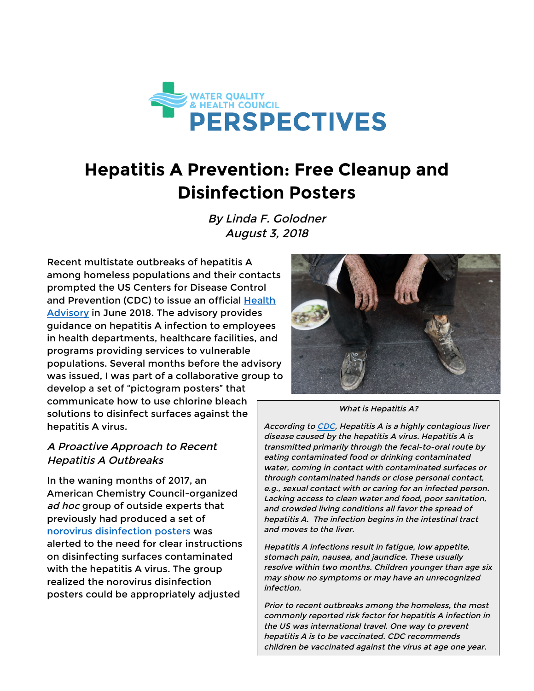

# **Hepatitis A Prevention: Free Cleanup and Disinfection Posters**

By Linda F. Golodner August 3, 2018

Recent multistate outbreaks of hepatitis A among homeless populations and their contacts prompted the US Centers for Disease Control and Prevention (CDC) to issue an official Health Advisory in June 2018. The advisory provides guidance on hepatitis A infection to employees in health departments, healthcare facilities, and programs providing services to vulnerable populations. Several months before the advisory was issued, I was part of a collaborative group to develop a set of "pictogram posters" that communicate how to use chlorine bleach solutions to disinfect surfaces against the hepatitis A virus.

### A Proactive Approach to Recent Hepatitis A Outbreaks

In the waning months of 2017, an American Chemistry Council-organized ad hoc group of outside experts that previously had produced a set of norovirus disinfection posters was alerted to the need for clear instructions on disinfecting surfaces contaminated with the hepatitis A virus. The group realized the norovirus disinfection posters could be appropriately adjusted



What is Hepatitis A?

According to CDC, Hepatitis A is a highly contagious liver disease caused by the hepatitis A virus. Hepatitis A is transmitted primarily through the fecal-to-oral route by eating contaminated food or drinking contaminated water, coming in contact with contaminated surfaces or through contaminated hands or close personal contact, e.g., sexual contact with or caring for an infected person. Lacking access to clean water and food, poor sanitation, and crowded living conditions all favor the spread of hepatitis A. The infection begins in the intestinal tract and moves to the liver.

Hepatitis A infections result in fatigue, low appetite, stomach pain, nausea, and jaundice. These usually resolve within two months. Children younger than age six may show no symptoms or may have an unrecognized infection.

Prior to recent outbreaks among the homeless, the most commonly reported risk factor for hepatitis A infection in the US was international travel. One way to prevent hepatitis A is to be vaccinated. CDC recommends children be vaccinated against the virus at age one year.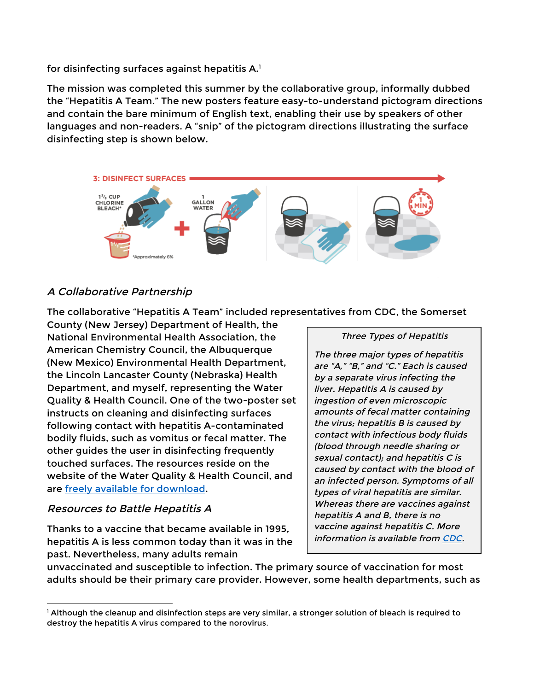for disinfecting surfaces against hepatitis A.1

The mission was completed this summer by the collaborative group, informally dubbed the "Hepatitis A Team." The new posters feature easy-to-understand pictogram directions and contain the bare minimum of English text, enabling their use by speakers of other languages and non-readers. A "snip" of the pictogram directions illustrating the surface disinfecting step is shown below.



## A Collaborative Partnership

The collaborative "Hepatitis A Team" included representatives from CDC, the Somerset

County (New Jersey) Department of Health, the National Environmental Health Association, the American Chemistry Council, the Albuquerque (New Mexico) Environmental Health Department, the Lincoln Lancaster County (Nebraska) Health Department, and myself, representing the Water Quality & Health Council. One of the two-poster set instructs on cleaning and disinfecting surfaces following contact with hepatitis A-contaminated bodily fluids, such as vomitus or fecal matter. The other guides the user in disinfecting frequently touched surfaces. The resources reside on the website of the Water Quality & Health Council, and are freely available for download.

#### Resources to Battle Hepatitis A

<u> 1989 - Jan Samuel Barbara, margaret e</u>

Thanks to a vaccine that became available in 1995, hepatitis A is less common today than it was in the past. Nevertheless, many adults remain

#### Three Types of Hepatitis

The three major types of hepatitis are "A," "B," and "C." Each is caused by a separate virus infecting the liver. Hepatitis A is caused by ingestion of even microscopic amounts of fecal matter containing the virus; hepatitis B is caused by contact with infectious body fluids (blood through needle sharing or sexual contact); and hepatitis C is caused by contact with the blood of an infected person. Symptoms of all types of viral hepatitis are similar. Whereas there are vaccines against hepatitis A and B, there is no vaccine against hepatitis C. More information is available from CDC.

unvaccinated and susceptible to infection. The primary source of vaccination for most adults should be their primary care provider. However, some health departments, such as

<sup>1</sup> Although the cleanup and disinfection steps are very similar, a stronger solution of bleach is required to destroy the hepatitis A virus compared to the norovirus.